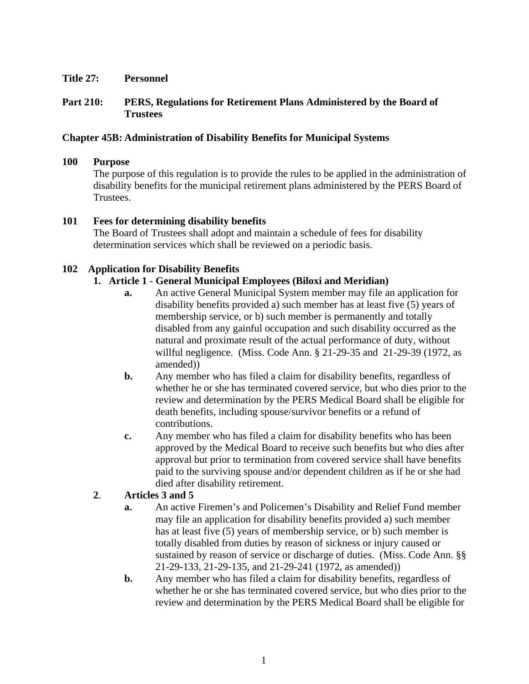## **Title 27: Personnel**

## **Part 210: PERS, Regulations for Retirement Plans Administered by the Board of Trustees**

## **Chapter 45B: Administration of Disability Benefits for Municipal Systems**

#### **100 Purpose**

The purpose of this regulation is to provide the rules to be applied in the administration of disability benefits for the municipal retirement plans administered by the PERS Board of Trustees.

#### **101 Fees for determining disability benefits**

The Board of Trustees shall adopt and maintain a schedule of fees for disability determination services which shall be reviewed on a periodic basis.

### **102 Application for Disability Benefits**

### **1. Article 1 - General Municipal Employees (Biloxi and Meridian)**

- **a.** An active General Municipal System member may file an application for disability benefits provided a) such member has at least five (5) years of membership service, or b) such member is permanently and totally disabled from any gainful occupation and such disability occurred as the natural and proximate result of the actual performance of duty, without willful negligence. (Miss. Code Ann. § 21-29-35 and 21-29-39 (1972, as amended))
- **b.** Any member who has filed a claim for disability benefits, regardless of whether he or she has terminated covered service, but who dies prior to the review and determination by the PERS Medical Board shall be eligible for death benefits, including spouse/survivor benefits or a refund of contributions.
- **c.** Any member who has filed a claim for disability benefits who has been approved by the Medical Board to receive such benefits but who dies after approval but prior to termination from covered service shall have benefits paid to the surviving spouse and/or dependent children as if he or she had died after disability retirement.

# **2**. **Articles 3 and 5**

- **a.** An active Firemen's and Policemen's Disability and Relief Fund member may file an application for disability benefits provided a) such member has at least five (5) years of membership service, or b) such member is totally disabled from duties by reason of sickness or injury caused or sustained by reason of service or discharge of duties. (Miss. Code Ann. §§ 21-29-133, 21-29-135, and 21-29-241 (1972, as amended))
- **b.** Any member who has filed a claim for disability benefits, regardless of whether he or she has terminated covered service, but who dies prior to the review and determination by the PERS Medical Board shall be eligible for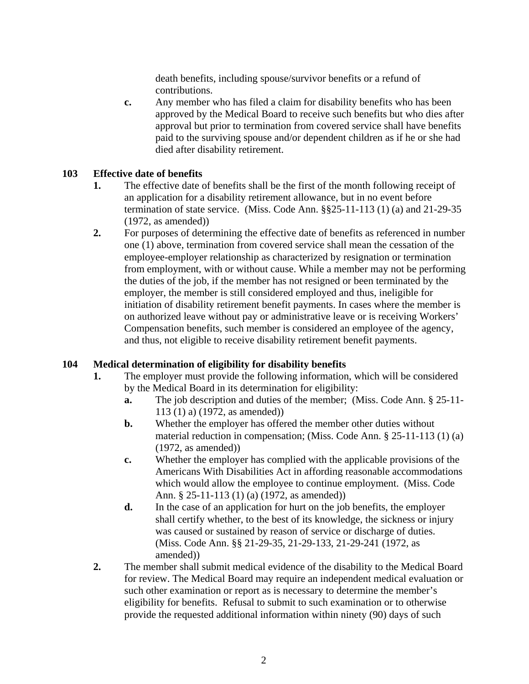death benefits, including spouse/survivor benefits or a refund of contributions.

**c.** Any member who has filed a claim for disability benefits who has been approved by the Medical Board to receive such benefits but who dies after approval but prior to termination from covered service shall have benefits paid to the surviving spouse and/or dependent children as if he or she had died after disability retirement.

### **103 Effective date of benefits**

- **1.** The effective date of benefits shall be the first of the month following receipt of an application for a disability retirement allowance, but in no event before termination of state service. (Miss. Code Ann. §§25-11-113 (1) (a) and 21-29-35 (1972, as amended))
- **2.** For purposes of determining the effective date of benefits as referenced in number one (1) above, termination from covered service shall mean the cessation of the employee-employer relationship as characterized by resignation or termination from employment, with or without cause. While a member may not be performing the duties of the job, if the member has not resigned or been terminated by the employer, the member is still considered employed and thus, ineligible for initiation of disability retirement benefit payments. In cases where the member is on authorized leave without pay or administrative leave or is receiving Workers' Compensation benefits, such member is considered an employee of the agency, and thus, not eligible to receive disability retirement benefit payments.

#### **104 Medical determination of eligibility for disability benefits**

- **1.** The employer must provide the following information, which will be considered by the Medical Board in its determination for eligibility:
	- **a.** The job description and duties of the member; (Miss. Code Ann. § 25-11- 113 (1) a) (1972, as amended))
	- **b.** Whether the employer has offered the member other duties without material reduction in compensation; (Miss. Code Ann. § 25-11-113 (1) (a) (1972, as amended))
	- **c.** Whether the employer has complied with the applicable provisions of the Americans With Disabilities Act in affording reasonable accommodations which would allow the employee to continue employment. (Miss. Code Ann. § 25-11-113 (1) (a) (1972, as amended))
	- **d.** In the case of an application for hurt on the job benefits, the employer shall certify whether, to the best of its knowledge, the sickness or injury was caused or sustained by reason of service or discharge of duties. (Miss. Code Ann. §§ 21-29-35, 21-29-133, 21-29-241 (1972, as amended))
- **2.** The member shall submit medical evidence of the disability to the Medical Board for review. The Medical Board may require an independent medical evaluation or such other examination or report as is necessary to determine the member's eligibility for benefits. Refusal to submit to such examination or to otherwise provide the requested additional information within ninety (90) days of such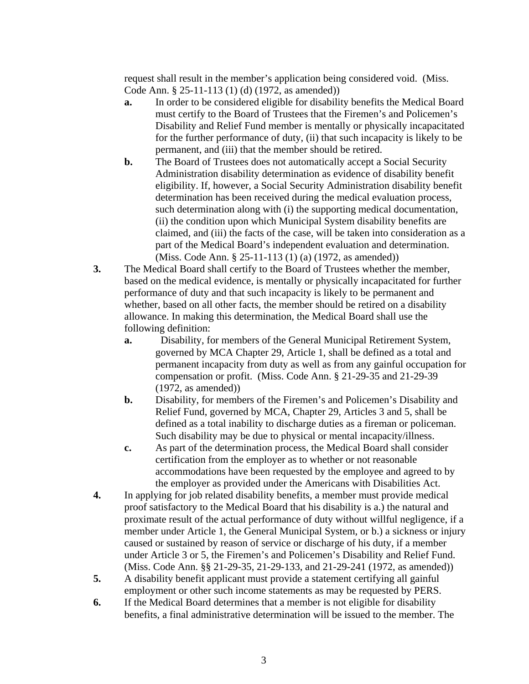request shall result in the member's application being considered void. (Miss. Code Ann. § 25-11-113 (1) (d) (1972, as amended))

- **a.** In order to be considered eligible for disability benefits the Medical Board must certify to the Board of Trustees that the Firemen's and Policemen's Disability and Relief Fund member is mentally or physically incapacitated for the further performance of duty, (ii) that such incapacity is likely to be permanent, and (iii) that the member should be retired.
- **b.** The Board of Trustees does not automatically accept a Social Security Administration disability determination as evidence of disability benefit eligibility. If, however, a Social Security Administration disability benefit determination has been received during the medical evaluation process, such determination along with (i) the supporting medical documentation, (ii) the condition upon which Municipal System disability benefits are claimed, and (iii) the facts of the case, will be taken into consideration as a part of the Medical Board's independent evaluation and determination. (Miss. Code Ann. § 25-11-113 (1) (a) (1972, as amended))
- **3.** The Medical Board shall certify to the Board of Trustees whether the member, based on the medical evidence, is mentally or physically incapacitated for further performance of duty and that such incapacity is likely to be permanent and whether, based on all other facts, the member should be retired on a disability allowance. In making this determination, the Medical Board shall use the following definition:
	- **a.** Disability, for members of the General Municipal Retirement System, governed by MCA Chapter 29, Article 1, shall be defined as a total and permanent incapacity from duty as well as from any gainful occupation for compensation or profit. (Miss. Code Ann. § 21-29-35 and 21-29-39 (1972, as amended))
	- **b.** Disability, for members of the Firemen's and Policemen's Disability and Relief Fund, governed by MCA, Chapter 29, Articles 3 and 5, shall be defined as a total inability to discharge duties as a fireman or policeman. Such disability may be due to physical or mental incapacity/illness.
	- **c.** As part of the determination process, the Medical Board shall consider certification from the employer as to whether or not reasonable accommodations have been requested by the employee and agreed to by the employer as provided under the Americans with Disabilities Act.
- **4.** In applying for job related disability benefits, a member must provide medical proof satisfactory to the Medical Board that his disability is a.) the natural and proximate result of the actual performance of duty without willful negligence, if a member under Article 1, the General Municipal System, or b.) a sickness or injury caused or sustained by reason of service or discharge of his duty, if a member under Article 3 or 5, the Firemen's and Policemen's Disability and Relief Fund. (Miss. Code Ann. §§ 21-29-35, 21-29-133, and 21-29-241 (1972, as amended))
- **5.** A disability benefit applicant must provide a statement certifying all gainful employment or other such income statements as may be requested by PERS.
- **6.** If the Medical Board determines that a member is not eligible for disability benefits, a final administrative determination will be issued to the member. The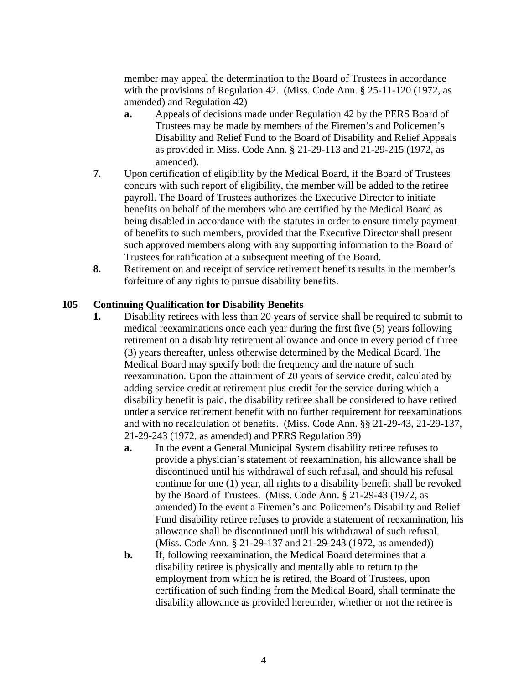member may appeal the determination to the Board of Trustees in accordance with the provisions of Regulation 42. (Miss. Code Ann. § 25-11-120 (1972, as amended) and Regulation 42)

- **a.** Appeals of decisions made under Regulation 42 by the PERS Board of Trustees may be made by members of the Firemen's and Policemen's Disability and Relief Fund to the Board of Disability and Relief Appeals as provided in Miss. Code Ann. § 21-29-113 and 21-29-215 (1972, as amended).
- **7.** Upon certification of eligibility by the Medical Board, if the Board of Trustees concurs with such report of eligibility, the member will be added to the retiree payroll. The Board of Trustees authorizes the Executive Director to initiate benefits on behalf of the members who are certified by the Medical Board as being disabled in accordance with the statutes in order to ensure timely payment of benefits to such members, provided that the Executive Director shall present such approved members along with any supporting information to the Board of Trustees for ratification at a subsequent meeting of the Board.
- **8.** Retirement on and receipt of service retirement benefits results in the member's forfeiture of any rights to pursue disability benefits.

# **105 Continuing Qualification for Disability Benefits**

- **1.** Disability retirees with less than 20 years of service shall be required to submit to medical reexaminations once each year during the first five (5) years following retirement on a disability retirement allowance and once in every period of three (3) years thereafter, unless otherwise determined by the Medical Board. The Medical Board may specify both the frequency and the nature of such reexamination. Upon the attainment of 20 years of service credit, calculated by adding service credit at retirement plus credit for the service during which a disability benefit is paid, the disability retiree shall be considered to have retired under a service retirement benefit with no further requirement for reexaminations and with no recalculation of benefits. (Miss. Code Ann. §§ 21-29-43, 21-29-137, 21-29-243 (1972, as amended) and PERS Regulation 39)
	- **a.** In the event a General Municipal System disability retiree refuses to provide a physician's statement of reexamination, his allowance shall be discontinued until his withdrawal of such refusal, and should his refusal continue for one (1) year, all rights to a disability benefit shall be revoked by the Board of Trustees. (Miss. Code Ann. § 21-29-43 (1972, as amended) In the event a Firemen's and Policemen's Disability and Relief Fund disability retiree refuses to provide a statement of reexamination, his allowance shall be discontinued until his withdrawal of such refusal. (Miss. Code Ann. § 21-29-137 and 21-29-243 (1972, as amended))
	- **b.** If, following reexamination, the Medical Board determines that a disability retiree is physically and mentally able to return to the employment from which he is retired, the Board of Trustees, upon certification of such finding from the Medical Board, shall terminate the disability allowance as provided hereunder, whether or not the retiree is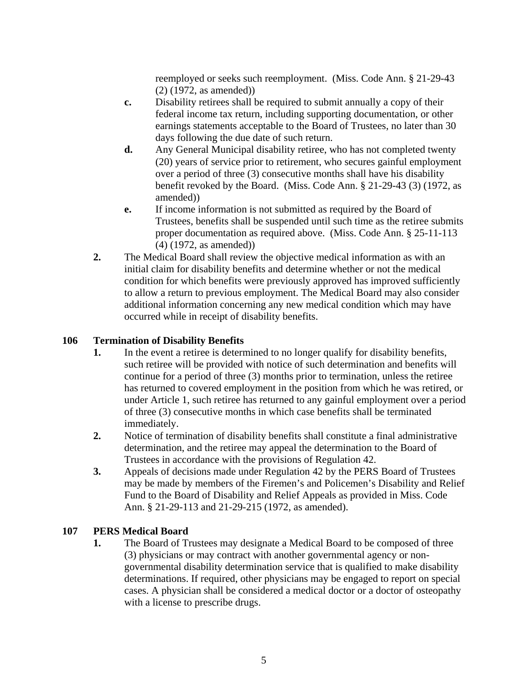reemployed or seeks such reemployment. (Miss. Code Ann. § 21-29-43 (2) (1972, as amended))

- **c.** Disability retirees shall be required to submit annually a copy of their federal income tax return, including supporting documentation, or other earnings statements acceptable to the Board of Trustees, no later than 30 days following the due date of such return.
- **d.** Any General Municipal disability retiree, who has not completed twenty (20) years of service prior to retirement, who secures gainful employment over a period of three (3) consecutive months shall have his disability benefit revoked by the Board. (Miss. Code Ann. § 21-29-43 (3) (1972, as amended))
- **e.** If income information is not submitted as required by the Board of Trustees, benefits shall be suspended until such time as the retiree submits proper documentation as required above. (Miss. Code Ann. § 25-11-113 (4) (1972, as amended))
- **2.** The Medical Board shall review the objective medical information as with an initial claim for disability benefits and determine whether or not the medical condition for which benefits were previously approved has improved sufficiently to allow a return to previous employment. The Medical Board may also consider additional information concerning any new medical condition which may have occurred while in receipt of disability benefits.

# **106 Termination of Disability Benefits**

- **1.** In the event a retiree is determined to no longer qualify for disability benefits, such retiree will be provided with notice of such determination and benefits will continue for a period of three (3) months prior to termination, unless the retiree has returned to covered employment in the position from which he was retired, or under Article 1, such retiree has returned to any gainful employment over a period of three (3) consecutive months in which case benefits shall be terminated immediately.
- **2.** Notice of termination of disability benefits shall constitute a final administrative determination, and the retiree may appeal the determination to the Board of Trustees in accordance with the provisions of Regulation 42.
- **3.** Appeals of decisions made under Regulation 42 by the PERS Board of Trustees may be made by members of the Firemen's and Policemen's Disability and Relief Fund to the Board of Disability and Relief Appeals as provided in Miss. Code Ann. § 21-29-113 and 21-29-215 (1972, as amended).

# **107 PERS Medical Board**

**1.** The Board of Trustees may designate a Medical Board to be composed of three (3) physicians or may contract with another governmental agency or nongovernmental disability determination service that is qualified to make disability determinations. If required, other physicians may be engaged to report on special cases. A physician shall be considered a medical doctor or a doctor of osteopathy with a license to prescribe drugs.